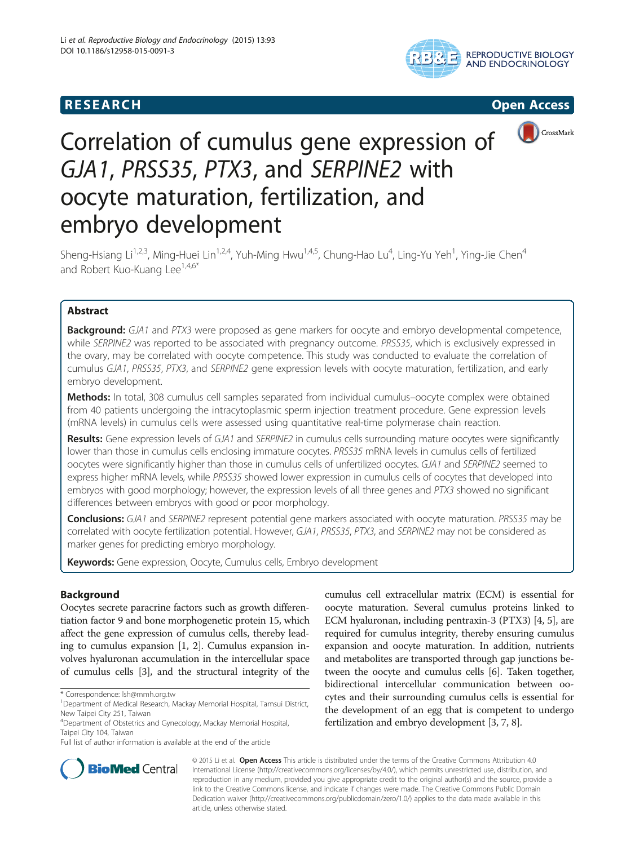## **RESEARCH CHINESE ARCH CHINESE ARCH CHINESE ARCH**







# Correlation of cumulus gene expression of GJA1, PRSS35, PTX3, and SERPINE2 with oocyte maturation, fertilization, and embryo development

Sheng-Hsiang Li<sup>1,2,3</sup>, Ming-Huei Lin<sup>1,2,4</sup>, Yuh-Ming Hwu<sup>1,4,5</sup>, Chung-Hao Lu<sup>4</sup>, Ling-Yu Yeh<sup>1</sup>, Ying-Jie Chen<sup>4</sup> and Robert Kuo-Kuang Lee<sup>1,4,6\*</sup>

## Abstract

**Background:** GJA1 and PTX3 were proposed as gene markers for oocyte and embryo developmental competence, while SERPINE2 was reported to be associated with pregnancy outcome. PRSS35, which is exclusively expressed in the ovary, may be correlated with oocyte competence. This study was conducted to evaluate the correlation of cumulus GJA1, PRSS35, PTX3, and SERPINE2 gene expression levels with oocyte maturation, fertilization, and early embryo development.

Methods: In total, 308 cumulus cell samples separated from individual cumulus–oocyte complex were obtained from 40 patients undergoing the intracytoplasmic sperm injection treatment procedure. Gene expression levels (mRNA levels) in cumulus cells were assessed using quantitative real-time polymerase chain reaction.

Results: Gene expression levels of GJA1 and SERPINE2 in cumulus cells surrounding mature oocytes were significantly lower than those in cumulus cells enclosing immature oocytes. PRSS35 mRNA levels in cumulus cells of fertilized oocytes were significantly higher than those in cumulus cells of unfertilized oocytes. GJA1 and SERPINE2 seemed to express higher mRNA levels, while PRSS35 showed lower expression in cumulus cells of oocytes that developed into embryos with good morphology; however, the expression levels of all three genes and PTX3 showed no significant differences between embryos with good or poor morphology.

Conclusions: GJA1 and SERPINE2 represent potential gene markers associated with oocyte maturation. PRSS35 may be correlated with oocyte fertilization potential. However, GJA1, PRSS35, PTX3, and SERPINE2 may not be considered as marker genes for predicting embryo morphology.

Keywords: Gene expression, Oocyte, Cumulus cells, Embryo development

### Background

Oocytes secrete paracrine factors such as growth differentiation factor 9 and bone morphogenetic protein 15, which affect the gene expression of cumulus cells, thereby leading to cumulus expansion [\[1](#page-6-0), [2\]](#page-6-0). Cumulus expansion involves hyaluronan accumulation in the intercellular space of cumulus cells [\[3\]](#page-6-0), and the structural integrity of the

cumulus cell extracellular matrix (ECM) is essential for oocyte maturation. Several cumulus proteins linked to ECM hyaluronan, including pentraxin-3 (PTX3) [[4, 5](#page-6-0)], are required for cumulus integrity, thereby ensuring cumulus expansion and oocyte maturation. In addition, nutrients and metabolites are transported through gap junctions between the oocyte and cumulus cells [\[6](#page-6-0)]. Taken together, bidirectional intercellular communication between oocytes and their surrounding cumulus cells is essential for the development of an egg that is competent to undergo fertilization and embryo development [[3, 7](#page-6-0), [8\]](#page-6-0).



© 2015 Li et al. Open Access This article is distributed under the terms of the Creative Commons Attribution 4.0 International License [\(http://creativecommons.org/licenses/by/4.0/\)](http://creativecommons.org/licenses/by/4.0/), which permits unrestricted use, distribution, and reproduction in any medium, provided you give appropriate credit to the original author(s) and the source, provide a link to the Creative Commons license, and indicate if changes were made. The Creative Commons Public Domain Dedication waiver ([http://creativecommons.org/publicdomain/zero/1.0/\)](http://creativecommons.org/publicdomain/zero/1.0/) applies to the data made available in this article, unless otherwise stated.

<sup>\*</sup> Correspondence: [lsh@mmh.org.tw](mailto:lsh@mmh.org.tw) <sup>1</sup>

<sup>&</sup>lt;sup>1</sup>Department of Medical Research, Mackay Memorial Hospital, Tamsui District, New Taipei City 251, Taiwan

<sup>4</sup> Department of Obstetrics and Gynecology, Mackay Memorial Hospital, Taipei City 104, Taiwan

Full list of author information is available at the end of the article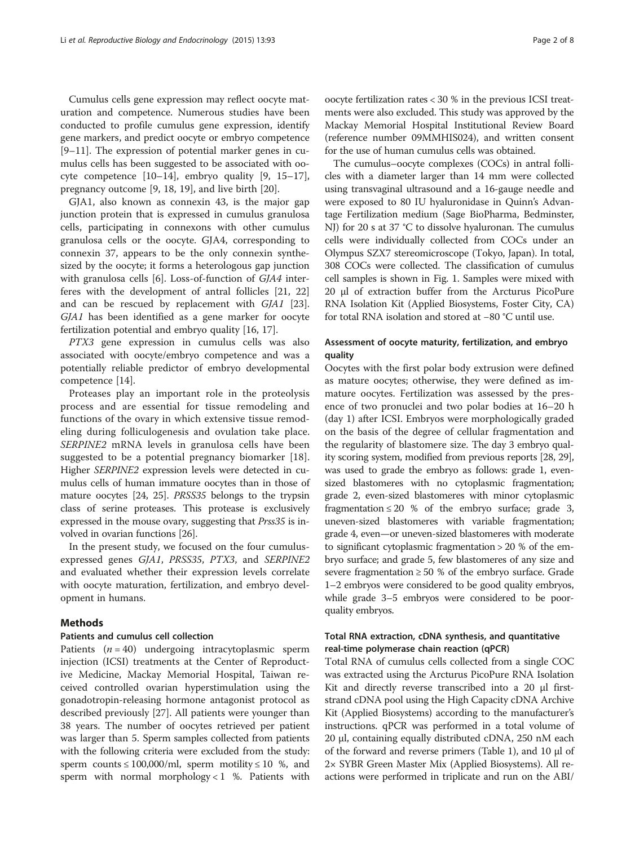Cumulus cells gene expression may reflect oocyte maturation and competence. Numerous studies have been conducted to profile cumulus gene expression, identify gene markers, and predict oocyte or embryo competence [[9](#page-6-0)–[11\]](#page-6-0). The expression of potential marker genes in cumulus cells has been suggested to be associated with oocyte competence [[10](#page-6-0)–[14\]](#page-6-0), embryo quality [[9, 15](#page-6-0)–[17](#page-6-0)], pregnancy outcome [\[9](#page-6-0), [18](#page-6-0), [19](#page-6-0)], and live birth [\[20](#page-6-0)].

GJA1, also known as connexin 43, is the major gap junction protein that is expressed in cumulus granulosa cells, participating in connexons with other cumulus granulosa cells or the oocyte. GJA4, corresponding to connexin 37, appears to be the only connexin synthesized by the oocyte; it forms a heterologous gap junction with granulosa cells [[6\]](#page-6-0). Loss-of-function of GJA4 interferes with the development of antral follicles [[21](#page-6-0), [22](#page-6-0)] and can be rescued by replacement with GJA1 [\[23](#page-6-0)]. GJA1 has been identified as a gene marker for oocyte fertilization potential and embryo quality [[16, 17\]](#page-6-0).

PTX3 gene expression in cumulus cells was also associated with oocyte/embryo competence and was a potentially reliable predictor of embryo developmental competence [[14\]](#page-6-0).

Proteases play an important role in the proteolysis process and are essential for tissue remodeling and functions of the ovary in which extensive tissue remodeling during folliculogenesis and ovulation take place. SERPINE2 mRNA levels in granulosa cells have been suggested to be a potential pregnancy biomarker [\[18](#page-6-0)]. Higher SERPINE2 expression levels were detected in cumulus cells of human immature oocytes than in those of mature oocytes [\[24, 25](#page-6-0)]. PRSS35 belongs to the trypsin class of serine proteases. This protease is exclusively expressed in the mouse ovary, suggesting that Prss35 is involved in ovarian functions [[26](#page-6-0)].

In the present study, we focused on the four cumulusexpressed genes GJA1, PRSS35, PTX3, and SERPINE2 and evaluated whether their expression levels correlate with oocyte maturation, fertilization, and embryo development in humans.

#### **Methods**

#### Patients and cumulus cell collection

Patients  $(n = 40)$  undergoing intracytoplasmic sperm injection (ICSI) treatments at the Center of Reproductive Medicine, Mackay Memorial Hospital, Taiwan received controlled ovarian hyperstimulation using the gonadotropin-releasing hormone antagonist protocol as described previously [\[27\]](#page-6-0). All patients were younger than 38 years. The number of oocytes retrieved per patient was larger than 5. Sperm samples collected from patients with the following criteria were excluded from the study: sperm counts  $\leq 100,000$ /ml, sperm motility  $\leq 10$  %, and sperm with normal morphology  $< 1$  %. Patients with

oocyte fertilization rates < 30 % in the previous ICSI treatments were also excluded. This study was approved by the Mackay Memorial Hospital Institutional Review Board (reference number 09MMHIS024), and written consent for the use of human cumulus cells was obtained.

The cumulus–oocyte complexes (COCs) in antral follicles with a diameter larger than 14 mm were collected using transvaginal ultrasound and a 16-gauge needle and were exposed to 80 IU hyaluronidase in Quinn's Advantage Fertilization medium (Sage BioPharma, Bedminster, NJ) for 20 s at 37 °C to dissolve hyaluronan. The cumulus cells were individually collected from COCs under an Olympus SZX7 stereomicroscope (Tokyo, Japan). In total, 308 COCs were collected. The classification of cumulus cell samples is shown in Fig. [1](#page-2-0). Samples were mixed with 20 μl of extraction buffer from the Arcturus PicoPure RNA Isolation Kit (Applied Biosystems, Foster City, CA) for total RNA isolation and stored at −80 °C until use.

#### Assessment of oocyte maturity, fertilization, and embryo quality

Oocytes with the first polar body extrusion were defined as mature oocytes; otherwise, they were defined as immature oocytes. Fertilization was assessed by the presence of two pronuclei and two polar bodies at 16–20 h (day 1) after ICSI. Embryos were morphologically graded on the basis of the degree of cellular fragmentation and the regularity of blastomere size. The day 3 embryo quality scoring system, modified from previous reports [[28](#page-6-0), [29](#page-6-0)], was used to grade the embryo as follows: grade 1, evensized blastomeres with no cytoplasmic fragmentation; grade 2, even-sized blastomeres with minor cytoplasmic fragmentation  $\leq 20$  % of the embryo surface; grade 3, uneven-sized blastomeres with variable fragmentation; grade 4, even—or uneven-sized blastomeres with moderate to significant cytoplasmic fragmentation > 20 % of the embryo surface; and grade 5, few blastomeres of any size and severe fragmentation ≥ 50 % of the embryo surface. Grade 1–2 embryos were considered to be good quality embryos, while grade 3–5 embryos were considered to be poorquality embryos.

## Total RNA extraction, cDNA synthesis, and quantitative real-time polymerase chain reaction (qPCR)

Total RNA of cumulus cells collected from a single COC was extracted using the Arcturus PicoPure RNA Isolation Kit and directly reverse transcribed into a 20 μl firststrand cDNA pool using the High Capacity cDNA Archive Kit (Applied Biosystems) according to the manufacturer's instructions. qPCR was performed in a total volume of 20 μl, containing equally distributed cDNA, 250 nM each of the forward and reverse primers (Table [1](#page-2-0)), and 10 μl of 2× SYBR Green Master Mix (Applied Biosystems). All reactions were performed in triplicate and run on the ABI/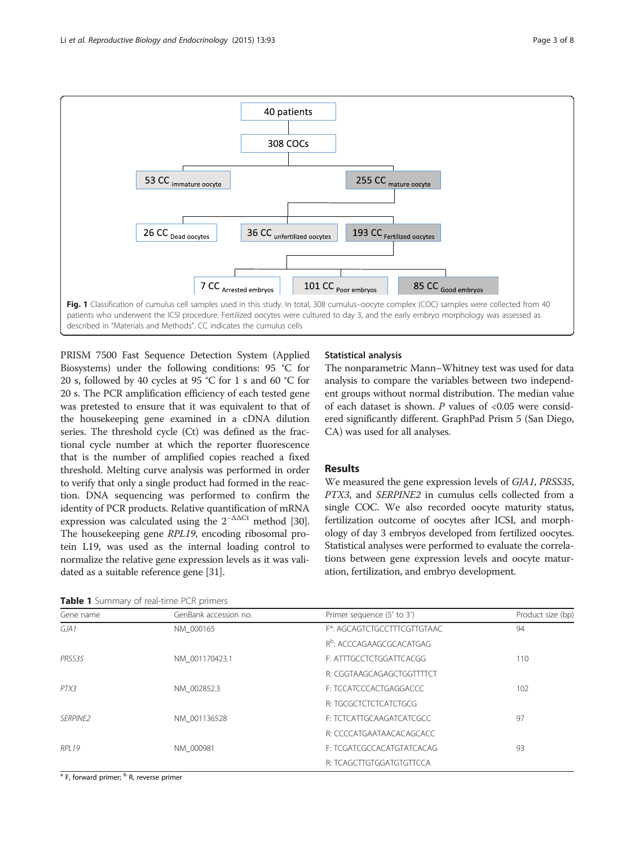<span id="page-2-0"></span>

PRISM 7500 Fast Sequence Detection System (Applied Biosystems) under the following conditions: 95 °C for 20 s, followed by 40 cycles at 95 °C for 1 s and 60 °C for 20 s. The PCR amplification efficiency of each tested gene was pretested to ensure that it was equivalent to that of the housekeeping gene examined in a cDNA dilution series. The threshold cycle (Ct) was defined as the fractional cycle number at which the reporter fluorescence that is the number of amplified copies reached a fixed threshold. Melting curve analysis was performed in order to verify that only a single product had formed in the reaction. DNA sequencing was performed to confirm the identity of PCR products. Relative quantification of mRNA expression was calculated using the  $2^{-\Delta\Delta Ct}$  method [[30](#page-6-0)]. The housekeeping gene RPL19, encoding ribosomal protein L19, was used as the internal loading control to normalize the relative gene expression levels as it was validated as a suitable reference gene [\[31\]](#page-6-0).

#### Table 1 Summary of real-time PCR primers

## Statistical analysis

The nonparametric Mann–Whitney test was used for data analysis to compare the variables between two independent groups without normal distribution. The median value of each dataset is shown.  $P$  values of <0.05 were considered significantly different. GraphPad Prism 5 (San Diego, CA) was used for all analyses.

### Results

We measured the gene expression levels of GJA1, PRSS35, PTX3, and SERPINE2 in cumulus cells collected from a single COC. We also recorded oocyte maturity status, fertilization outcome of oocytes after ICSI, and morphology of day 3 embryos developed from fertilized oocytes. Statistical analyses were performed to evaluate the correlations between gene expression levels and oocyte maturation, fertilization, and embryo development.

| Gene name       | GenBank accession no. | Primer sequence (5' to 3')               | Product size (bp) |
|-----------------|-----------------------|------------------------------------------|-------------------|
| GIA1            | NM 000165             | F <sup>a</sup> : AGCAGTCTGCCTTTCGTTGTAAC | 94                |
|                 |                       | R <sup>b</sup> : ACCCAGAAGCGCACATGAG     |                   |
| PRSS35          | NM 001170423.1        | F: ATTTGCCTCTGGATTCACGG                  | 110               |
|                 |                       | R: CGGTAAGCAGAGCTGGTTTCT                 |                   |
| PTX3            | NM 002852.3           | F: TCCATCCCACTGAGGACCC                   | 102               |
|                 |                       | R: TGCGCTCTCTCATCTGCG                    |                   |
| <b>SERPINE2</b> | NM 001136528          | F: TCTCATTGCAAGATCATCGCC                 | 97                |
|                 |                       | R: CCCCATGAATAACACAGCACC                 |                   |
| RPI 19          | NM 000981             | F: TCGATCGCCACATGTATCACAG                | 93                |
|                 |                       | R: TCAGCTTGTGGATGTGTTCCA                 |                   |

<sup>a</sup> F, forward primer; <sup>b</sup> R, reverse primer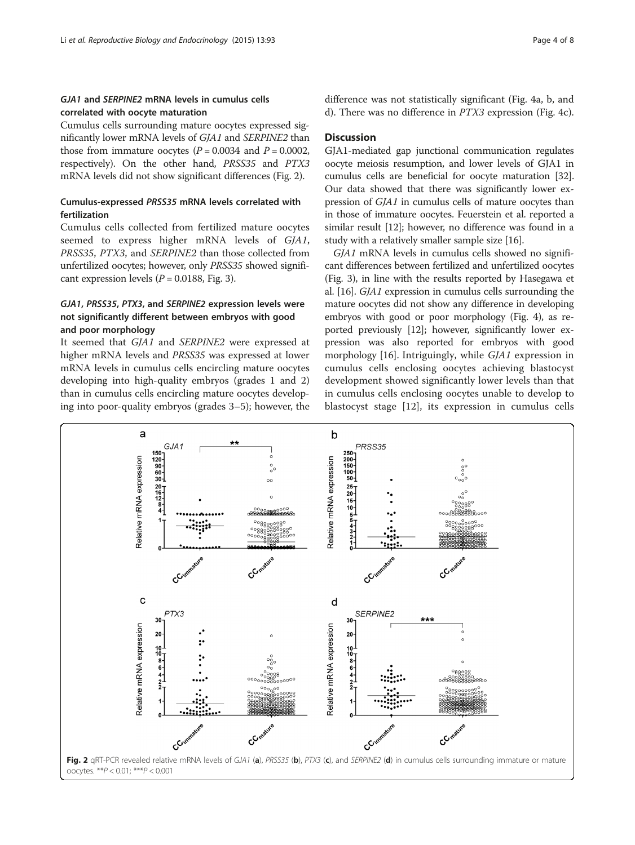### <span id="page-3-0"></span>GJA1 and SERPINE2 mRNA levels in cumulus cells correlated with oocyte maturation

Cumulus cells surrounding mature oocytes expressed significantly lower mRNA levels of GJA1 and SERPINE2 than those from immature oocytes ( $P = 0.0034$  and  $P = 0.0002$ , respectively). On the other hand, PRSS35 and PTX3 mRNA levels did not show significant differences (Fig. 2).

## Cumulus-expressed PRSS35 mRNA levels correlated with fertilization

Cumulus cells collected from fertilized mature oocytes seemed to express higher mRNA levels of GJA1, PRSS35, PTX3, and SERPINE2 than those collected from unfertilized oocytes; however, only PRSS35 showed significant expression levels  $(P = 0.0188, Fig. 3)$  $(P = 0.0188, Fig. 3)$  $(P = 0.0188, Fig. 3)$ .

## GJA1, PRSS35, PTX3, and SERPINE2 expression levels were not significantly different between embryos with good and poor morphology

It seemed that GJA1 and SERPINE2 were expressed at higher mRNA levels and PRSS35 was expressed at lower mRNA levels in cumulus cells encircling mature oocytes developing into high-quality embryos (grades 1 and 2) than in cumulus cells encircling mature oocytes developing into poor-quality embryos (grades 3–5); however, the difference was not statistically significant (Fig. [4a](#page-5-0), [b](#page-5-0), and [d\)](#page-5-0). There was no difference in PTX3 expression (Fig. [4c](#page-5-0)).

#### **Discussion**

GJA1-mediated gap junctional communication regulates oocyte meiosis resumption, and lower levels of GJA1 in cumulus cells are beneficial for oocyte maturation [[32](#page-6-0)]. Our data showed that there was significantly lower expression of GJA1 in cumulus cells of mature oocytes than in those of immature oocytes. Feuerstein et al. reported a similar result [\[12\]](#page-6-0); however, no difference was found in a study with a relatively smaller sample size [[16\]](#page-6-0).

GJA1 mRNA levels in cumulus cells showed no significant differences between fertilized and unfertilized oocytes (Fig. [3\)](#page-4-0), in line with the results reported by Hasegawa et al. [\[16](#page-6-0)]. GJA1 expression in cumulus cells surrounding the mature oocytes did not show any difference in developing embryos with good or poor morphology (Fig. [4](#page-5-0)), as reported previously [\[12\]](#page-6-0); however, significantly lower expression was also reported for embryos with good morphology [\[16](#page-6-0)]. Intriguingly, while GJA1 expression in cumulus cells enclosing oocytes achieving blastocyst development showed significantly lower levels than that in cumulus cells enclosing oocytes unable to develop to blastocyst stage [[12\]](#page-6-0), its expression in cumulus cells

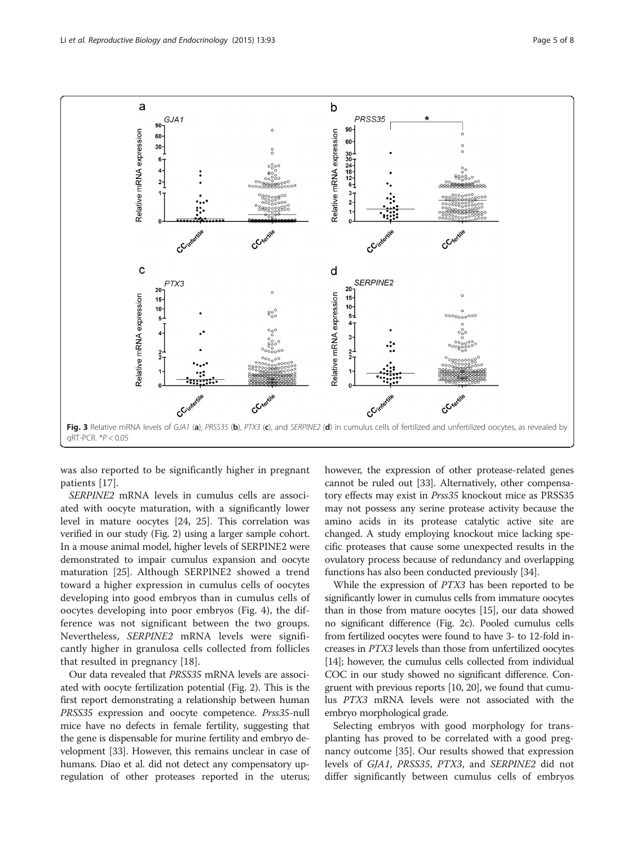<span id="page-4-0"></span>

was also reported to be significantly higher in pregnant patients [[17\]](#page-6-0).

SERPINE2 mRNA levels in cumulus cells are associated with oocyte maturation, with a significantly lower level in mature oocytes [[24, 25\]](#page-6-0). This correlation was verified in our study (Fig. [2\)](#page-3-0) using a larger sample cohort. In a mouse animal model, higher levels of SERPINE2 were demonstrated to impair cumulus expansion and oocyte maturation [\[25\]](#page-6-0). Although SERPINE2 showed a trend toward a higher expression in cumulus cells of oocytes developing into good embryos than in cumulus cells of oocytes developing into poor embryos (Fig. [4\)](#page-5-0), the difference was not significant between the two groups. Nevertheless, SERPINE2 mRNA levels were significantly higher in granulosa cells collected from follicles that resulted in pregnancy [\[18](#page-6-0)].

Our data revealed that PRSS35 mRNA levels are associated with oocyte fertilization potential (Fig. [2](#page-3-0)). This is the first report demonstrating a relationship between human PRSS35 expression and oocyte competence. Prss35-null mice have no defects in female fertility, suggesting that the gene is dispensable for murine fertility and embryo development [\[33](#page-6-0)]. However, this remains unclear in case of humans. Diao et al. did not detect any compensatory upregulation of other proteases reported in the uterus; however, the expression of other protease-related genes cannot be ruled out [\[33\]](#page-6-0). Alternatively, other compensatory effects may exist in Prss35 knockout mice as PRSS35 may not possess any serine protease activity because the amino acids in its protease catalytic active site are changed. A study employing knockout mice lacking specific proteases that cause some unexpected results in the ovulatory process because of redundancy and overlapping functions has also been conducted previously [\[34\]](#page-6-0).

While the expression of PTX3 has been reported to be significantly lower in cumulus cells from immature oocytes than in those from mature oocytes [[15](#page-6-0)], our data showed no significant difference (Fig. [2c](#page-3-0)). Pooled cumulus cells from fertilized oocytes were found to have 3- to 12-fold increases in PTX3 levels than those from unfertilized oocytes [[14](#page-6-0)]; however, the cumulus cells collected from individual COC in our study showed no significant difference. Congruent with previous reports [\[10, 20\]](#page-6-0), we found that cumulus PTX3 mRNA levels were not associated with the embryo morphological grade.

Selecting embryos with good morphology for transplanting has proved to be correlated with a good pregnancy outcome [\[35\]](#page-6-0). Our results showed that expression levels of GJA1, PRSS35, PTX3, and SERPINE2 did not differ significantly between cumulus cells of embryos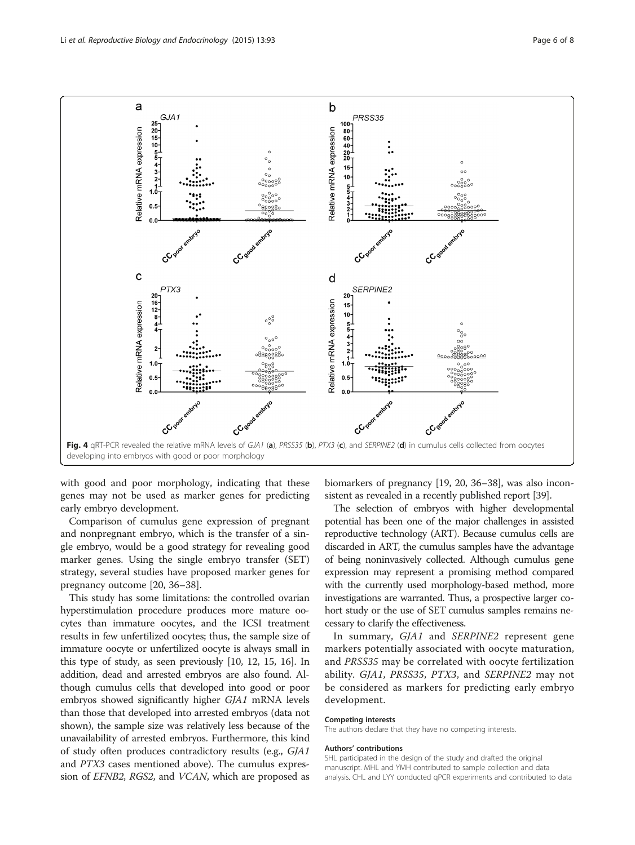<span id="page-5-0"></span>

with good and poor morphology, indicating that these genes may not be used as marker genes for predicting early embryo development.

Comparison of cumulus gene expression of pregnant and nonpregnant embryo, which is the transfer of a single embryo, would be a good strategy for revealing good marker genes. Using the single embryo transfer (SET) strategy, several studies have proposed marker genes for pregnancy outcome [\[20](#page-6-0), [36](#page-6-0)–[38\]](#page-7-0).

This study has some limitations: the controlled ovarian hyperstimulation procedure produces more mature oocytes than immature oocytes, and the ICSI treatment results in few unfertilized oocytes; thus, the sample size of immature oocyte or unfertilized oocyte is always small in this type of study, as seen previously [\[10, 12, 15](#page-6-0), [16\]](#page-6-0). In addition, dead and arrested embryos are also found. Although cumulus cells that developed into good or poor embryos showed significantly higher GJA1 mRNA levels than those that developed into arrested embryos (data not shown), the sample size was relatively less because of the unavailability of arrested embryos. Furthermore, this kind of study often produces contradictory results (e.g., GJA1 and PTX3 cases mentioned above). The cumulus expression of EFNB2, RGS2, and VCAN, which are proposed as

biomarkers of pregnancy [[19](#page-6-0), [20](#page-6-0), [36](#page-6-0)–[38\]](#page-7-0), was also inconsistent as revealed in a recently published report [\[39\]](#page-7-0).

The selection of embryos with higher developmental potential has been one of the major challenges in assisted reproductive technology (ART). Because cumulus cells are discarded in ART, the cumulus samples have the advantage of being noninvasively collected. Although cumulus gene expression may represent a promising method compared with the currently used morphology-based method, more investigations are warranted. Thus, a prospective larger cohort study or the use of SET cumulus samples remains necessary to clarify the effectiveness.

In summary, GJA1 and SERPINE2 represent gene markers potentially associated with oocyte maturation, and PRSS35 may be correlated with oocyte fertilization ability. GJA1, PRSS35, PTX3, and SERPINE2 may not be considered as markers for predicting early embryo development.

#### Competing interests

The authors declare that they have no competing interests.

#### Authors' contributions

SHL participated in the design of the study and drafted the original manuscript. MHL and YMH contributed to sample collection and data analysis. CHL and LYY conducted qPCR experiments and contributed to data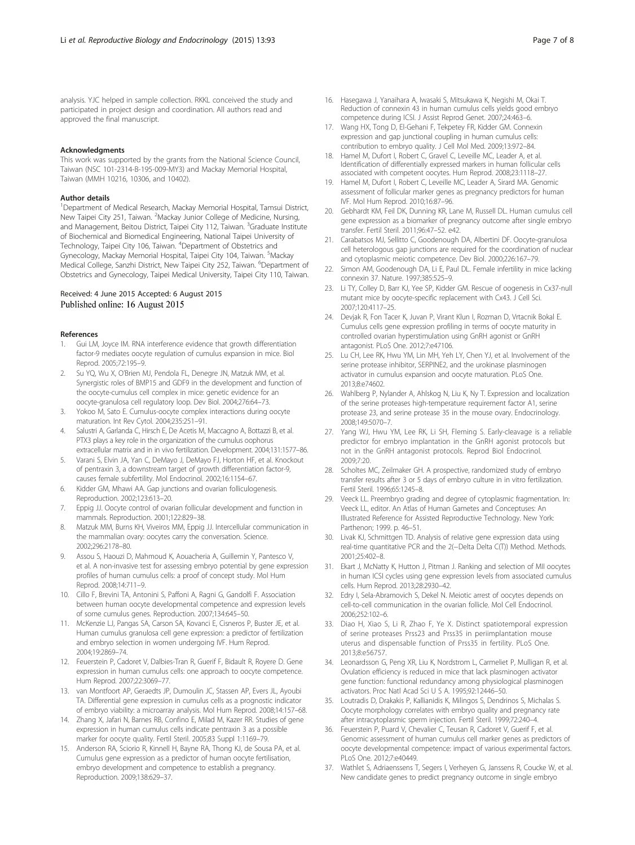<span id="page-6-0"></span>analysis. YJC helped in sample collection. RKKL conceived the study and participated in project design and coordination. All authors read and approved the final manuscript.

#### Acknowledgments

This work was supported by the grants from the National Science Council, Taiwan (NSC 101-2314-B-195-009-MY3) and Mackay Memorial Hospital, Taiwan (MMH 10216, 10306, and 10402).

#### Author details

<sup>1</sup>Department of Medical Research, Mackay Memorial Hospital, Tamsui District, New Taipei City 251, Taiwan. <sup>2</sup>Mackay Junior College of Medicine, Nursing, and Management, Beitou District, Taipei City 112, Taiwan. <sup>3</sup>Graduate Institute of Biochemical and Biomedical Engineering, National Taipei University of Technology, Taipei City 106, Taiwan. <sup>4</sup>Department of Obstetrics and Gynecology, Mackay Memorial Hospital, Taipei City 104, Taiwan. <sup>5</sup>Mackay Medical College, Sanzhi District, New Taipei City 252, Taiwan. <sup>6</sup>Department of Obstetrics and Gynecology, Taipei Medical University, Taipei City 110, Taiwan.

#### Received: 4 June 2015 Accepted: 6 August 2015 Published online: 16 August 2015

#### References

- 1. Gui LM, Joyce IM. RNA interference evidence that growth differentiation factor-9 mediates oocyte regulation of cumulus expansion in mice. Biol Reprod. 2005;72:195–9.
- 2. Su YQ, Wu X, O'Brien MJ, Pendola FL, Denegre JN, Matzuk MM, et al. Synergistic roles of BMP15 and GDF9 in the development and function of the oocyte-cumulus cell complex in mice: genetic evidence for an oocyte-granulosa cell regulatory loop. Dev Biol. 2004;276:64–73.
- 3. Yokoo M, Sato E. Cumulus-oocyte complex interactions during oocyte maturation. Int Rev Cytol. 2004;235:251–91.
- Salustri A, Garlanda C, Hirsch E, De Acetis M, Maccagno A, Bottazzi B, et al. PTX3 plays a key role in the organization of the cumulus oophorus extracellular matrix and in in vivo fertilization. Development. 2004;131:1577–86.
- Varani S, Elvin JA, Yan C, DeMayo J, DeMayo FJ, Horton HF, et al. Knockout of pentraxin 3, a downstream target of growth differentiation factor-9, causes female subfertility. Mol Endocrinol. 2002;16:1154–67.
- Kidder GM, Mhawi AA. Gap junctions and ovarian folliculogenesis. Reproduction. 2002;123:613–20.
- 7. Eppig JJ. Oocyte control of ovarian follicular development and function in mammals. Reproduction. 2001;122:829–38.
- 8. Matzuk MM, Burns KH, Viveiros MM, Eppig JJ. Intercellular communication in the mammalian ovary: oocytes carry the conversation. Science. 2002;296:2178–80.
- Assou S, Haouzi D, Mahmoud K, Aouacheria A, Guillemin Y, Pantesco V, et al. A non-invasive test for assessing embryo potential by gene expression profiles of human cumulus cells: a proof of concept study. Mol Hum Reprod. 2008;14:711–9.
- 10. Cillo F, Brevini TA, Antonini S, Paffoni A, Ragni G, Gandolfi F. Association between human oocyte developmental competence and expression levels of some cumulus genes. Reproduction. 2007;134:645–50.
- 11. McKenzie LJ, Pangas SA, Carson SA, Kovanci E, Cisneros P, Buster JE, et al. Human cumulus granulosa cell gene expression: a predictor of fertilization and embryo selection in women undergoing IVF. Hum Reprod. 2004;19:2869–74.
- 12. Feuerstein P, Cadoret V, Dalbies-Tran R, Guerif F, Bidault R, Royere D. Gene expression in human cumulus cells: one approach to oocyte competence. Hum Reprod. 2007;22:3069–77.
- 13. van Montfoort AP, Geraedts JP, Dumoulin JC, Stassen AP, Evers JL, Ayoubi TA. Differential gene expression in cumulus cells as a prognostic indicator of embryo viability: a microarray analysis. Mol Hum Reprod. 2008;14:157–68.
- 14. Zhang X, Jafari N, Barnes RB, Confino E, Milad M, Kazer RR. Studies of gene expression in human cumulus cells indicate pentraxin 3 as a possible marker for oocyte quality. Fertil Steril. 2005;83 Suppl 1:1169–79.
- 15. Anderson RA, Sciorio R, Kinnell H, Bayne RA, Thong KJ, de Sousa PA, et al. Cumulus gene expression as a predictor of human oocyte fertilisation, embryo development and competence to establish a pregnancy. Reproduction. 2009;138:629–37.
- 16. Hasegawa J, Yanaihara A, Iwasaki S, Mitsukawa K, Negishi M, Okai T. Reduction of connexin 43 in human cumulus cells yields good embryo competence during ICSI. J Assist Reprod Genet. 2007;24:463–6.
- 17. Wang HX, Tong D, El-Gehani F, Tekpetey FR, Kidder GM. Connexin expression and gap junctional coupling in human cumulus cells: contribution to embryo quality. J Cell Mol Med. 2009;13:972–84.
- 18. Hamel M, Dufort I, Robert C, Gravel C, Leveille MC, Leader A, et al. Identification of differentially expressed markers in human follicular cells associated with competent oocytes. Hum Reprod. 2008;23:1118–27.
- 19. Hamel M, Dufort I, Robert C, Leveille MC, Leader A, Sirard MA. Genomic assessment of follicular marker genes as pregnancy predictors for human IVF. Mol Hum Reprod. 2010;16:87–96.
- 20. Gebhardt KM, Feil DK, Dunning KR, Lane M, Russell DL. Human cumulus cell gene expression as a biomarker of pregnancy outcome after single embryo transfer. Fertil Steril. 2011;96:47–52. e42.
- 21. Carabatsos MJ, Sellitto C, Goodenough DA, Albertini DF. Oocyte-granulosa cell heterologous gap junctions are required for the coordination of nuclear and cytoplasmic meiotic competence. Dev Biol. 2000;226:167–79.
- 22. Simon AM, Goodenough DA, Li E, Paul DL. Female infertility in mice lacking connexin 37. Nature. 1997;385:525–9.
- 23. Li TY, Colley D, Barr KJ, Yee SP, Kidder GM. Rescue of oogenesis in Cx37-null mutant mice by oocyte-specific replacement with Cx43. J Cell Sci. 2007;120:4117–25.
- 24. Devjak R, Fon Tacer K, Juvan P, Virant Klun I, Rozman D, Vrtacnik Bokal E. Cumulus cells gene expression profiling in terms of oocyte maturity in controlled ovarian hyperstimulation using GnRH agonist or GnRH antagonist. PLoS One. 2012;7:e47106.
- 25. Lu CH, Lee RK, Hwu YM, Lin MH, Yeh LY, Chen YJ, et al. Involvement of the serine protease inhibitor, SERPINE2, and the urokinase plasminogen activator in cumulus expansion and oocyte maturation. PLoS One. 2013;8:e74602.
- 26. Wahlberg P, Nylander A, Ahlskog N, Liu K, Ny T. Expression and localization of the serine proteases high-temperature requirement factor A1, serine protease 23, and serine protease 35 in the mouse ovary. Endocrinology. 2008;149:5070–7.
- 27. Yang WJ, Hwu YM, Lee RK, Li SH, Fleming S. Early-cleavage is a reliable predictor for embryo implantation in the GnRH agonist protocols but not in the GnRH antagonist protocols. Reprod Biol Endocrinol. 2009;7:20.
- 28. Scholtes MC, Zeilmaker GH. A prospective, randomized study of embryo transfer results after 3 or 5 days of embryo culture in in vitro fertilization. Fertil Steril. 1996;65:1245–8.
- 29. Veeck LL. Preembryo grading and degree of cytoplasmic fragmentation. In: Veeck LL, editor. An Atlas of Human Gametes and Conceptuses: An Illustrated Reference for Assisted Reproductive Technology. New York: Parthenon; 1999. p. 46–51.
- 30. Livak KJ, Schmittgen TD. Analysis of relative gene expression data using real-time quantitative PCR and the 2(−Delta Delta C(T)) Method. Methods. 2001;25:402–8.
- 31. Ekart J, McNatty K, Hutton J, Pitman J. Ranking and selection of MII oocytes in human ICSI cycles using gene expression levels from associated cumulus cells. Hum Reprod. 2013;28:2930–42.
- 32. Edry I, Sela-Abramovich S, Dekel N. Meiotic arrest of oocytes depends on cell-to-cell communication in the ovarian follicle. Mol Cell Endocrinol. 2006;252:102–6.
- 33. Diao H, Xiao S, Li R, Zhao F, Ye X. Distinct spatiotemporal expression of serine proteases Prss23 and Prss35 in periimplantation mouse uterus and dispensable function of Prss35 in fertility. PLoS One. 2013;8:e56757.
- 34. Leonardsson G, Peng XR, Liu K, Nordstrom L, Carmeliet P, Mulligan R, et al. Ovulation efficiency is reduced in mice that lack plasminogen activator gene function: functional redundancy among physiological plasminogen activators. Proc Natl Acad Sci U S A. 1995;92:12446–50.
- 35. Loutradis D, Drakakis P, Kallianidis K, Milingos S, Dendrinos S, Michalas S. Oocyte morphology correlates with embryo quality and pregnancy rate after intracytoplasmic sperm injection. Fertil Steril. 1999;72:240–4.
- 36. Feuerstein P, Puard V, Chevalier C, Teusan R, Cadoret V, Guerif F, et al. Genomic assessment of human cumulus cell marker genes as predictors of oocyte developmental competence: impact of various experimental factors. PLoS One. 2012;7:e40449.
- 37. Wathlet S, Adriaenssens T, Segers I, Verheyen G, Janssens R, Coucke W, et al. New candidate genes to predict pregnancy outcome in single embryo